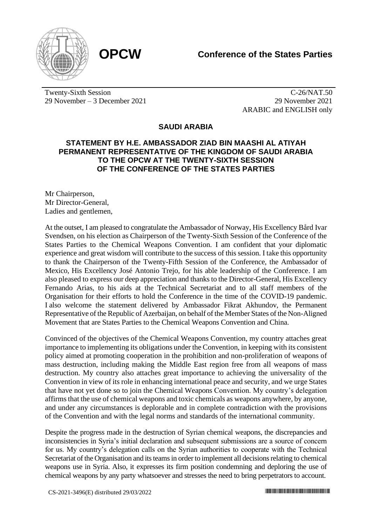

Twenty-Sixth Session 29 November – 3 December 2021

C-26/NAT.50 29 November 2021 ARABIC and ENGLISH only

## **SAUDI ARABIA**

## **STATEMENT BY H.E. AMBASSADOR ZIAD BIN MAASHI AL ATIYAH PERMANENT REPRESENTATIVE OF THE KINGDOM OF SAUDI ARABIA TO THE OPCW AT THE TWENTY-SIXTH SESSION OF THE CONFERENCE OF THE STATES PARTIES**

Mr Chairperson, Mr Director-General, Ladies and gentlemen,

At the outset, I am pleased to congratulate the Ambassador of Norway, His Excellency Bård Ivar Svendsen, on his election as Chairperson of the Twenty-Sixth Session of the Conference of the States Parties to the Chemical Weapons Convention. I am confident that your diplomatic experience and great wisdom will contribute to the success of this session. I take this opportunity to thank the Chairperson of the Twenty-Fifth Session of the Conference, the Ambassador of Mexico, His Excellency José Antonio Trejo, for his able leadership of the Conference. I am also pleased to express our deep appreciation and thanks to the Director-General, His Excellency Fernando Arias, to his aids at the Technical Secretariat and to all staff members of the Organisation for their efforts to hold the Conference in the time of the COVID-19 pandemic. I also welcome the statement delivered by Ambassador Fikrat Akhundov, the Permanent Representative of the Republic of Azerbaijan, on behalf of the Member States of the Non-Aligned Movement that are States Parties to the Chemical Weapons Convention and China.

Convinced of the objectives of the Chemical Weapons Convention, my country attaches great importance to implementing its obligations under the Convention, in keeping with its consistent policy aimed at promoting cooperation in the prohibition and non-proliferation of weapons of mass destruction, including making the Middle East region free from all weapons of mass destruction. My country also attaches great importance to achieving the universality of the Convention in view of its role in enhancing international peace and security, and we urge States that have not yet done so to join the Chemical Weapons Convention. My country's delegation affirmsthat the use of chemical weapons and toxic chemicals as weapons anywhere, by anyone, and under any circumstances is deplorable and in complete contradiction with the provisions of the Convention and with the legal norms and standards of the international community.

Despite the progress made in the destruction of Syrian chemical weapons, the discrepancies and inconsistencies in Syria's initial declaration and subsequent submissions are a source of concern for us. My country's delegation calls on the Syrian authorities to cooperate with the Technical Secretariat of the Organisation and its teams in order to implement all decisions relating to chemical weapons use in Syria. Also, it expresses its firm position condemning and deploring the use of chemical weapons by any party whatsoever and stresses the need to bring perpetrators to account.